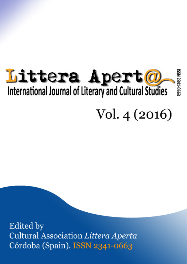

 $Vol. 4(2016)$ 

**Edited** by Cultural Association Littera Aperta Córdoba (Spain). ISSN 2341-0663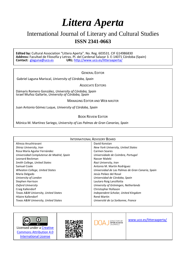## *Littera Aperta*

### International Journal of Literary and Cultural Studies **ISSN 2341-0663**

**Edited by:** Cultural Association "Littera Aperta". No. Reg. 603531. CIF G14986830 Address: Facultad de Filosofía y Letras. Pl. del Cardenal Salazar 3. E-14071 Córdoba (Spain)<br>Contact: glaguna@uco.es **URL:** http://www.uco.es/litteraaperta/ **URL: <http://www.uco.es/litteraaperta/>** 

#### GENERAL EDITOR

Gabriel Laguna Mariscal, *University of Córdoba, Spain*

ASSOCIATE EDITORS

Dámaris Romero González, *University of Córdoba, Spain* Israel Muñoz Gallarte, *University of Córdoba, Spain*

MANAGING EDITOR AND WEB MASTER

Juan Antonio Gómez Luque, *University of Córdoba, Spain*

#### BOOK REVIEW EDITOR

Mónica M. Martínez Sariego, *University of Las Palmas de Gran Canarias, Spain*

| <b>INTERNATIONAL ADVISORY BOARD</b>      |                                                  |
|------------------------------------------|--------------------------------------------------|
| Alireza Anushiravani                     | David Konstan                                    |
| Shiraz University, Iran                  | New York University, United States               |
| Rosa María Aguilar Fernández             | <b>Carmen Soares</b>                             |
| Universidad Complutense de Madrid, Spain | Universidade de Coimbra, Portugal                |
| Leonard Beckman                          | Nasser Maleki                                    |
| Smith College, United States             | Razi University, Iran                            |
| Samuel Coale                             | Antonio M. Martín Rodríguez                      |
| <b>Wheaton College, United States</b>    | Universidad de Las Palmas de Gran Canaria, Spain |
| Maria Delgado                            | Jesús Peláez del Rosal                           |
| University of London                     | Universidad de Córdoba, Spain                    |
| Stephen Harrison                         | Lautaro Roig Lanzillotta                         |
| Oxford University                        | University of Gröningen, Netherlands             |
| Craig Kallendorf                         | Christopher Rollason                             |
| Texas A&M University, United States      | Independent Scholar, United Kingdom              |
| Hilaire Kallendorf                       | René Martin                                      |
| Texas A&M University, United States      | Université de La Sorbonne, France                |

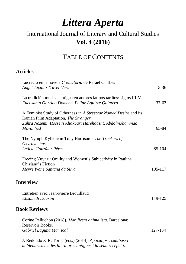# *Littera Aperta*

## International Journal of Literary and Cultural Studies **Vol. 4 (2016)**

### TABLE OF CONTENTS

### **Articles**

| Lucrecio en la novela Crematorio de Rafael Chirbes<br>Ángel Jacinto Traver Vera                                             | $5 - 36$ |
|-----------------------------------------------------------------------------------------------------------------------------|----------|
| La tradición musical antigua en autores latinos tardíos: siglos III-V<br>Fuensanta Garrido Domené, Felipe Aguirre Quintero  | $37-63$  |
| A Feminist Study of Otherness in A Streetcar Named Desire and its<br>Iranian Film Adaptation, The Stranger                  |          |
| Zahra Nazemi, Hossein Aliakbari Harehdasht, Abdolmohammad<br>Movahhed                                                       | 65-84    |
| The Nymph Kyllene in Tony Harrison's The Trackers of<br>Oxyrhynchus                                                         |          |
| Leticia González Pérez                                                                                                      | 85-104   |
| Freeing Vuyazi: Orality and Women's Subjectivity in Paulina<br>Chiziane's Fiction                                           |          |
| Meyre Ivone Santana da Silva                                                                                                | 105-117  |
| <b>Interview</b>                                                                                                            |          |
| Entretien avec Jean-Pierre Brouillaud<br>Elisabeth Doustin                                                                  | 119-125  |
| <b>Book Reviews</b>                                                                                                         |          |
| Corine Pelluchon (2018). Manifiesto animalista. Barcelona:<br>Reservoir Books.                                              |          |
| Gabriel Laguna Mariscal                                                                                                     | 127-134  |
| J. Redondo & R. Torné (eds.) (2014). Apocalipsi, catàbasi i<br>mil·lenarisme a les literatures antigues i la seua recepció. |          |